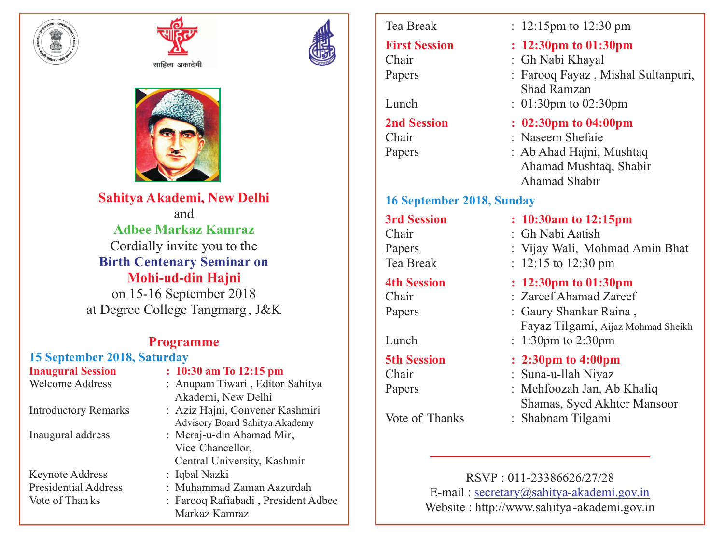



साहित्य अकादेमी



**Sahitya Akademi, New Delhi** and **Adbee Markaz Kamraz** Cordially invite you to the **Birth Centenary Seminar on Mohi-ud-din Hajni** on 15-16 September 2018 at Degree College Tangmarg , J&K

### **Programme**

# **15 September 2018, Saturday**

Keynote Address : Iqbal Nazki

### **Inaugural Session : 10:30 am To 12:15 pm**

- Welcome Address : Anupam Tiwari, Editor Sahitya Akademi, New Delhi
- Introductory Remarks : Aziz Hajni, Convener Kashmiri Advisory Board Sahitya Akademy
- Inaugural address : Meraj-u-din Ahamad Mir, Vice Chancellor, Central University, Kashmir

Presidential Address : Muhammad Zaman Aazurdah

Vote of Than ks : Farooq Rafiabadi , President Adbee Markaz Kamraz

## **16 September 2018, Sunday**

Tea Break : 12:15pm to 12:30 pm

# **First Session : 12:30pm to 01:30pm**<br>Chair : Gh Nabi Khayal

- : Gh Nabi Khayal
- Papers : Farooq Fayaz, Mishal Sultanpuri, Shad Ramzan
- Lunch : 01:30pm to 02:30pm

# **2nd Session : 02:30pm to 04:00pm**<br>Chair : Naseem Shefaie

- · Naseem Shefaie
- Papers : Ab Ahad Hajni, Mushtaq Ahamad Mushtaq, Shabir Ahamad Shabir

### **3rd Session : 10:30am to 12:15pm**

- Chair : Gh Nabi Aatish
- Papers : Vijay Wali, Mohmad Amin Bhat
- Tea Break : 12:15 to 12:30 pm

## **4th Session : 12:30pm to 01:30pm**

- Chair : Zareef Ahamad Zareef
- Papers : Gaury Shankar Raina, Fayaz Tilgami, Aijaz Mohmad Sheikh
- Lunch : 1:30pm to 2:30pm

## **5th Session : 2:30pm to 4:00pm**

- Chair : Suna-u-llah Niyaz
- Papers : Mehfoozah Jan, Ab Khaliq Shamas, Syed Akhter Mansoor
- Vote of Thanks : Shabnam Tilgami

RSVP : 011-23386626/27/28 E-mail : secretary@sahitya-akademi.gov.in Website : http://www.sahitya -akademi.gov.in